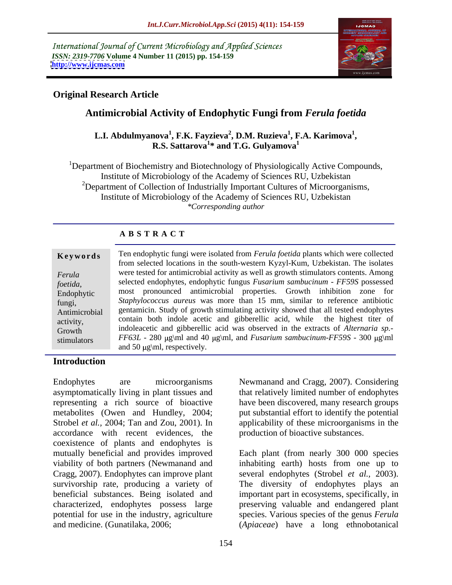International Journal of Current Microbiology and Applied Sciences *ISSN: 2319-7706* **Volume 4 Number 11 (2015) pp. 154-159 <http://www.ijcmas.com>**



## **Original Research Article**

# **Antimicrobial Activity of Endophytic Fungi from** *Ferula foetida*

### L.I. Abdulmyanova<sup>1</sup>, F.K. Fayzieva<sup>2</sup>, D.M. Ruzieva<sup>1</sup>, F.A. Karimova<sup>1</sup>,<br>R.S. Sattarova<sup>1</sup>\* and T.G. Gulyamova<sup>1</sup> **, F.A. Karimova<sup>1</sup> \* and T.G. Gulyamova<sup>1</sup>**

<sup>1</sup>Department of Biochemistry and Biotechnology of Physiologically Active Compounds, Institute of Microbiology of the Academy of Sciences RU, Uzbekistan <sup>2</sup>Department of Collection of Industrially Important Cultures of Microorganisms, Institute of Microbiology of the Academy of Sciences RU, Uzbekistan *\*Corresponding author*

| <b>ABSTRACT</b> |  |  |
|-----------------|--|--|
|-----------------|--|--|

|               | Ten endophytic fungi were isolated from Ferula foetida plants which were collected               |  |  |
|---------------|--------------------------------------------------------------------------------------------------|--|--|
| Keywords      | from selected locations in the south-western Kyzyl-Kum, Uzbekistan. The isolates                 |  |  |
|               |                                                                                                  |  |  |
| Ferula        | were tested for antimicrobial activity as well as growth stimulators contents. Among             |  |  |
| foetida,      | selected endophytes, endophytic fungus Fusarium sambucinum - FF59S possessed                     |  |  |
| Endophytic    | most pronounced antimicrobial properties. Growth inhibition zone for                             |  |  |
| fungi,        | Staphylococcus aureus was more than 15 mm, similar to reference antibiotic                       |  |  |
| Antimicrobial | gentamicin. Study of growth stimulating activity showed that all tested endophytes               |  |  |
| activity,     | contain both indole acetic and gibberellic acid, while the highest titer of                      |  |  |
| Growth        | indoleacetic and gibberellic acid was observed in the extracts of Alternaria sp.-                |  |  |
| stimulators   | $FF63L - 280 \mu\text{s}$ and 40 $\mu\text{s}$ and Fusarium sambucinum-FF59S - 300 $\mu\text{s}$ |  |  |
|               | and 50 $\mu$ g\ml, respectively.                                                                 |  |  |

### **Introduction**

asymptomatically living in plant tissues and that relatively limited number of endophytes representing a rich source of bioactive have been discovered, many research groups metabolites (Owen and Hundley, 2004; put substantial effort to identify the potential Strobel *et al.*, 2004; Tan and Zou, 2001). In applicability of these microorganisms in the accordance with recent evidences, the coexistence of plants and endophytes is mutually beneficial and provides improved Each plant (from nearly 300 000 species viability of both partners (Newmanand and inhabiting earth) hosts from one up to Cragg, 2007). Endophytes can improve plant several endophytes (Strobel *et al.,* 2003). survivorship rate, producing a variety of The diversity of endophytes plays an beneficial substances. Being isolated and important part in ecosystems, specifically, in characterized, endophytes possess large preserving valuable and endangered plant potential for use in the industry, agriculture species. Various species of the genus *Ferula*  and medicine. (Gunatilaka, 2006; (*Apiaceae*) have a long ethnobotanical

Endophytes are microorganisms Newmanand and Cragg, 2007). Considering production of bioactive substances.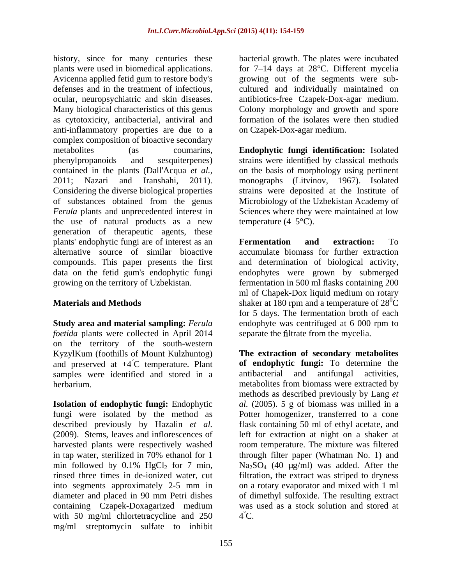history, since for many centuries these plants were used in biomedical applications. for 7–14 days at 28°C. Different mycelia Avicenna applied fetid gum to restore body's growing out of the segments were sub defenses and in the treatment of infectious, cultured and individually maintained on ocular, neuropsychiatric and skin diseases. antibiotics-free Czapek-Dox-agar medium. Many biological characteristics of this genus Colony morphology and growth and spore as cytotoxicity, antibacterial, antiviral and formation of the isolates were then studied anti-inflammatory properties are due to a complex composition of bioactive secondary metabolites (as coumarins, **Endophytic fungi identification:** Isolated phenylpropanoids and sesquiterpenes) strains were identified by classical methods contained in the plants (Dall'Acqua *et al.,* on the basis of morphology using pertinent 2011; Nazari and Iranshahi, 2011). monographs (Litvinov, 1967). Isolated Considering the diverse biological properties strains were deposited at the Institute of of substances obtained from the genus Microbiology of the Uzbekistan Academy of *Ferula* plants and unprecedented interest in the use of natural products as a new temperature  $(4-5^{\circ}C)$ . generation of therapeutic agents, these plants' endophytic fungi are of interest as an **Fermentation and extraction:** To alternative source of similar bioactive accumulate biomass for further extraction compounds. This paper presents the first and determination of biological activity, data on the fetid gum's endophytic fungi endophytes were grown by submerged growing on the territory of Uzbekistan. fermentation in 500 ml flasks containing 200

*foetida* plants were collected in April 2014 separate the filtrate from the mycelia. on the territory of the south-western and preserved at  $+4^{\circ}$ C temperature. Plant **of endophytic fungi:** To determine the samples were identified and stored in a **anti-** and anti- and anti- and activities. samples were identified and stored in a

containing Czapek-Doxagarized medium with 50 mg/ml chlortetracycline and 250 mg/ml streptomycin sulfate to inhibit

bacterial growth. The plates were incubated on Czapek-Dox-agar medium.

Sciences where they were maintained at low temperature  $(4-5^{\circ}C)$ .

**Materials and Methods** Shaker at 180 rpm and a temperature of 28<sup>0</sup>C **Study area and material sampling:** *Ferula*  endophyte was centrifuged at 6 000 rpm to **Fermentation and extraction:** To ml of Chapek-Dox liquid medium on rotary for 5 days. The fermentation broth of each separate the filtrate from the mycelia.

KyzylKum (foothills of Mount Kulzhuntog) **The extraction of secondary metabolites** °C temperature. Plant **of endophytic fungi:** To determine the herbarium. metabolites from biomass were extracted by **Isolation of endophytic fungi:** Endophytic al. (2005). 5 g of biomass was milled in a fungi were isolated by the method as Potter homogenizer, transferred to a cone described previously by Hazalin *et al.* flask containing 50 ml of ethyl acetate, and (2009). Stems, leaves and inflorescences of left for extraction at night on a shaker at harvested plants were respectively washed room temperature. The mixture was filtered in tap water, sterilized in 70% ethanol for 1 through filter paper (Whatman No. 1) and min followed by  $0.1\%$  HgCl<sub>2</sub> for 7 min,  $Na_2SO_4$  (40  $\mu$ g/ml) was added. After the rinsed three times in de-ionized water, cut filtration, the extract was striped to dryness into segments approximately 2-5 mm in on a rotary evaporator and mixed with 1 ml diameter and placed in 90 mm Petri dishes of dimethyl sulfoxide. The resulting extract antibacterial and antifungal methods as described previously by Lang *et*   $Na<sub>2</sub>SO<sub>4</sub>$  (40 µg/ml) was added. After the was used as a stock solution and stored at  $4^{\circ}$ C.  $\ddot{4}^{\circ}$ C.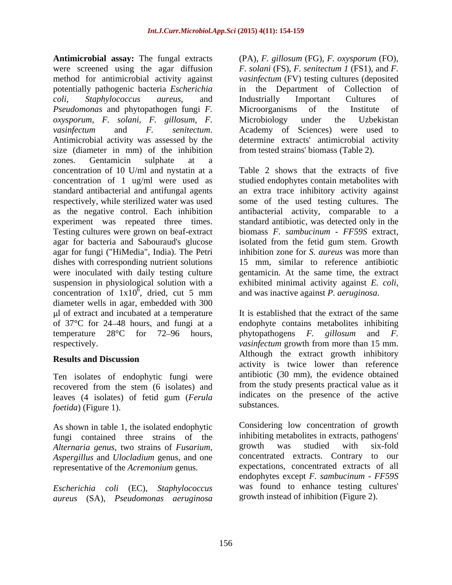**Antimicrobial assay:** The fungal extracts (PA), *F. gillosum* (FG)*, F. oxysporum* (FO), were screened using the agar diffusion *F. solani* (FS), *F. senitectum 1* (FS1)*,* and *F.* method for antimicrobial activity against *vasinfectum* (FV) testing cultures (deposited potentially pathogenic bacteria *Escherichia coli*, *Staphylococcus aureus*, and *Pseudomonas* and phytopathogen fungi *F. oxysporum*, *F. solani, F. gillosum, F. vasinfectum* and *F. senitectum*. Academy of Sciences) were used to Antimicrobial activity was assessed by the determine extracts' antimicrobial activity size (diameter in mm) of the inhibition zones. Gentamicin sulphate at a concentration of 10 U/ml and nystatin at a concentration of 1 ug/ml were used as studied endophytes contain metabolites with standard antibacterial and antifungal agents an extra trace inhibitory activity against respectively, while sterilized water was used some of the used testing cultures. The as the negative control. Each inhibition antibacterial activity, comparable to a experiment was repeated three times. standard antibiotic, was detected only in the Testing cultures were grown on beaf-extract agar for bacteria and Sabouraud's glucose agar for fungi ("HiMedia", India). The Petri dishes with corresponding nutrient solutions were inoculated with daily testing culture suspension in physiological solution with a exhibited minimal activity against E. coli, concentration of  $1x10^6$ , dried, cut 5 mm diameter wells in agar, embedded with 300 l of extract and incubated at a temperature of 37°C for 24 48 hours, and fungi at a temperature  $28^{\circ}$ C for 72–96 hours, phytopathogens *F*, gillosum and *F*.

Ten isolates of endophytic fungi were leaves (4 isolates) of fetid gum (*Ferula* and indicates c<br>foatida) (Figure 1) *foetida*) (Figure 1).

As shown in table 1, the isolated endophytic fungi contained three strains of the inhibiting metabolites in extracts, pathogens'<br>Alternaria genus two strains of Eusarium strains around was studied with six-fold *Alternaria genus*, two strains of *Fusarium*, *Aspergillus* and *Ulocladium* genus, and one representative of the *Acremonium* genus.

*Escherichia coli* (EC), *Staphylococcus aureus* (SA), *Pseudomonas aeruginosa* in the Department of Collection Industrially Important Cultures of Microorganisms of the Institute of Microbiology under the Uzbekistan Academy of Sciences) were used to determine extracts' antimicrobial activity from tested strains' biomass (Table 2).

and was inactive against P. aeruginosa. , dried, cut 5 mm and was inactive against *P. aeruginosa*. Table 2 shows that the extracts of five biomass *F. sambucinum - FF59S* extract, isolated from the fetid gum stem. Growth inhibition zone for *S. aureus* was more than 15 mm, similar to reference antibiotic gentamicin. At the same time, the extract exhibited minimal activity against *E. coli*, and was inactive against *P. aeruginosa*.

respectively. *vasinfectum* growth from more than 15 mm. **Results and Discussion** recovered from the stem (6 isolates) and **E**rom the study presents practical value as it It is established that the extract of the same endophyte contains metabolites inhibiting phytopathogens *F. gillosum* and *F.* Although the extract growth inhibitory activity is twice lower than reference antibiotic (30 mm), the evidence obtained from the study presents practical value as it indicates on the presence of the active substances.

> Considering low concentration of growth inhibiting metabolites in extracts, pathogens' growth was studied with six-fold concentrated extracts. Contrary to our expectations, concentrated extracts of all endophytes except *F. sambucinum - FF59S* was found to enhance testing cultures' growth instead of inhibition (Figure 2).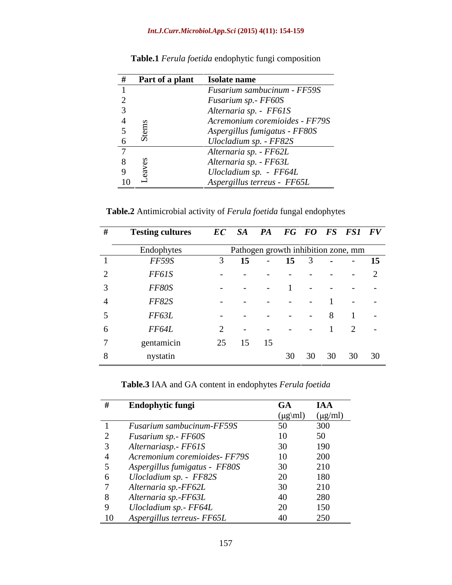### *Int.J.Curr.Microbiol.App.Sci* **(2015) 4(11): 154-159**

| Part of a plant Isolate name |                                |
|------------------------------|--------------------------------|
|                              | Fusarium sambucinum - FF59S    |
|                              | Fusarium sp. - FF60S           |
|                              | Alternaria sp. - FF61S         |
|                              | Acremonium coremioides - FF79S |
|                              | Aspergillus fumigatus - FF80S  |
|                              | Ulocladium sp. - FF82S         |
|                              | Alternaria sp. - FF62L         |
|                              | Alternaria sp. - FF63L         |
|                              | Ulocladium sp. - FF64L         |
|                              | Aspergillus terreus - FF65L    |

**Table.1** *Ferula foetida* endophytic fungi composition

**Table.2** Antimicrobial activity of *Ferula foetida* fungal endophytes

|   | <b>Testing cultures</b> | EC SA PA FG FO FS FS1 FV                                                                              |
|---|-------------------------|-------------------------------------------------------------------------------------------------------|
|   | Endophytes              | Pathogen growth inhibition zone, mm                                                                   |
|   | FF59S                   | $15 \t- 15 \t3 \t- 15$                                                                                |
|   | FF61S                   |                                                                                                       |
|   | FF80S                   | , where the contribution of the contribution of the contribution of the contribution of $\mathcal{A}$ |
| 4 | FF82S                   | and the company                                                                                       |
|   | FF63L                   | $      8$ $1$ $-$                                                                                     |
|   | FF64L                   | $2 -$<br>2 - - - - - 1                                                                                |
|   | gentamicin              | 25 15 15                                                                                              |
|   | nystatin                | 30 30 30 30 30                                                                                        |

**Table.3** IAA and GA content in endophytes *Ferula foetida*

| <b>Endophytic fungi</b>       | <b>GA</b> | IAA                               |
|-------------------------------|-----------|-----------------------------------|
|                               |           | $(\mu g\vert m)$ $(\mu g\vert m)$ |
| Fusarium sambucinum-FF59S     | 50        | 300                               |
| Fusarium sp.- FF60S           |           | 50                                |
| Alternariasp. - FF61S         |           | 190                               |
| Acremonium coremioides- FF79S | 10        | 200                               |
| Aspergillus fumigatus - FF80S | 30        | 210                               |
| Ulocladium sp. - FF82S        |           | 180                               |
| Alternaria sp.-FF62L          |           | 210                               |
| Alternaria sp.-FF63L          |           | 280                               |
| Ulocladium sp.- FF64L         |           | 150                               |
| 10 Aspergillus terreus- FF65L |           | 250                               |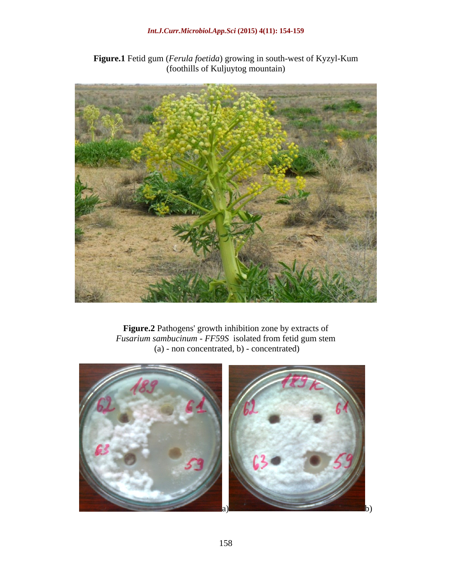

**Figure.1** Fetid gum (*Ferula foetida*) growing in south-west of Kyzyl-Kum (foothills of Kuljuytog mountain)

**Figure.2** Pathogens' growth inhibition zone by extracts of *Fusarium sambucinum - FF59S* isolated from fetid gum stem (a) - non concentrated, b) - concentrated)